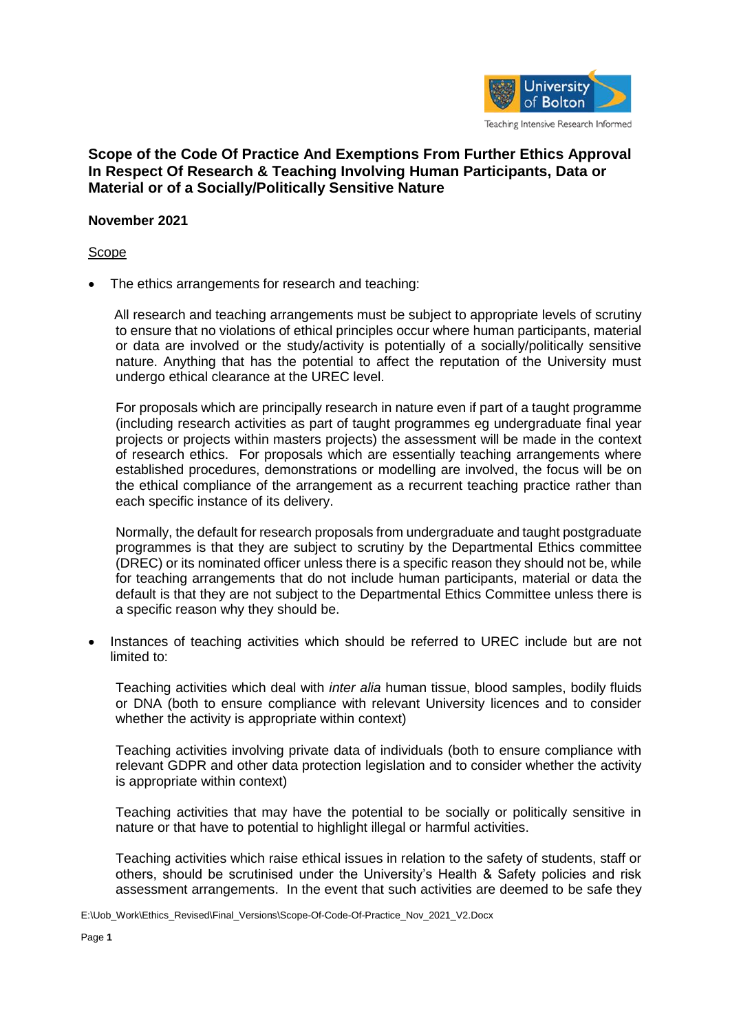

## **Scope of the Code Of Practice And Exemptions From Further Ethics Approval In Respect Of Research & Teaching Involving Human Participants, Data or Material or of a Socially/Politically Sensitive Nature**

## **November 2021**

## Scope

The ethics arrangements for research and teaching:

All research and teaching arrangements must be subject to appropriate levels of scrutiny to ensure that no violations of ethical principles occur where human participants, material or data are involved or the study/activity is potentially of a socially/politically sensitive nature. Anything that has the potential to affect the reputation of the University must undergo ethical clearance at the UREC level.

For proposals which are principally research in nature even if part of a taught programme (including research activities as part of taught programmes eg undergraduate final year projects or projects within masters projects) the assessment will be made in the context of research ethics. For proposals which are essentially teaching arrangements where established procedures, demonstrations or modelling are involved, the focus will be on the ethical compliance of the arrangement as a recurrent teaching practice rather than each specific instance of its delivery.

Normally, the default for research proposals from undergraduate and taught postgraduate programmes is that they are subject to scrutiny by the Departmental Ethics committee (DREC) or its nominated officer unless there is a specific reason they should not be, while for teaching arrangements that do not include human participants, material or data the default is that they are not subject to the Departmental Ethics Committee unless there is a specific reason why they should be.

 Instances of teaching activities which should be referred to UREC include but are not limited to:

Teaching activities which deal with *inter alia* human tissue, blood samples, bodily fluids or DNA (both to ensure compliance with relevant University licences and to consider whether the activity is appropriate within context)

Teaching activities involving private data of individuals (both to ensure compliance with relevant GDPR and other data protection legislation and to consider whether the activity is appropriate within context)

Teaching activities that may have the potential to be socially or politically sensitive in nature or that have to potential to highlight illegal or harmful activities.

Teaching activities which raise ethical issues in relation to the safety of students, staff or others, should be scrutinised under the University's Health & Safety policies and risk assessment arrangements. In the event that such activities are deemed to be safe they

E:\Uob\_Work\Ethics\_Revised\Final\_Versions\Scope-Of-Code-Of-Practice\_Nov\_2021\_V2.Docx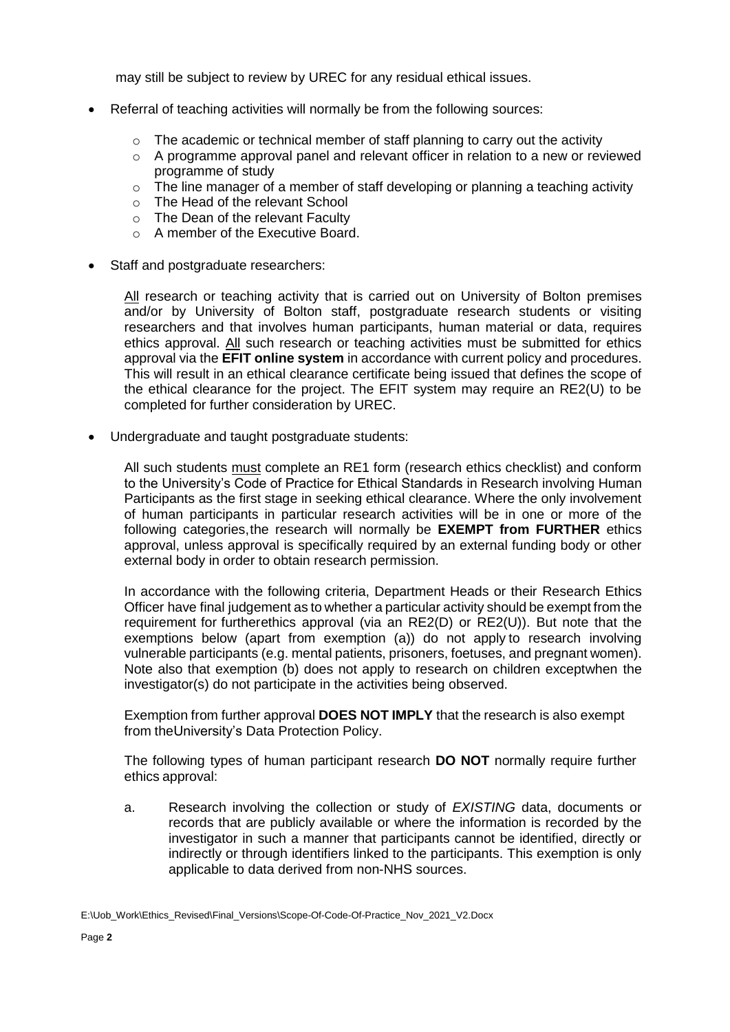may still be subject to review by UREC for any residual ethical issues.

- Referral of teaching activities will normally be from the following sources:
	- $\circ$  The academic or technical member of staff planning to carry out the activity
	- $\circ$  A programme approval panel and relevant officer in relation to a new or reviewed programme of study
	- $\circ$  The line manager of a member of staff developing or planning a teaching activity
	- o The Head of the relevant School
	- o The Dean of the relevant Faculty
	- o A member of the Executive Board.
- Staff and postgraduate researchers:

All research or teaching activity that is carried out on University of Bolton premises and/or by University of Bolton staff, postgraduate research students or visiting researchers and that involves human participants, human material or data, requires ethics approval. All such research or teaching activities must be submitted for ethics approval via the **EFIT online system** in accordance with current policy and procedures. This will result in an ethical clearance certificate being issued that defines the scope of the ethical clearance for the project. The EFIT system may require an RE2(U) to be completed for further consideration by UREC.

Undergraduate and taught postgraduate students:

All such students must complete an RE1 form (research ethics checklist) and conform to the University's Code of Practice for Ethical Standards in Research involving Human Participants as the first stage in seeking ethical clearance. Where the only involvement of human participants in particular research activities will be in one or more of the following categories,the research will normally be **EXEMPT from FURTHER** ethics approval, unless approval is specifically required by an external funding body or other external body in order to obtain research permission.

In accordance with the following criteria, Department Heads or their Research Ethics Officer have final judgement as to whether a particular activity should be exempt from the requirement for furtherethics approval (via an RE2(D) or RE2(U)). But note that the exemptions below (apart from exemption (a)) do not apply to research involving vulnerable participants (e.g. mental patients, prisoners, foetuses, and pregnant women). Note also that exemption (b) does not apply to research on children exceptwhen the investigator(s) do not participate in the activities being observed.

Exemption from further approval **DOES NOT IMPLY** that the research is also exempt from theUniversity's Data Protection Policy.

The following types of human participant research **DO NOT** normally require further ethics approval:

a. Research involving the collection or study of *EXISTING* data, documents or records that are publicly available or where the information is recorded by the investigator in such a manner that participants cannot be identified, directly or indirectly or through identifiers linked to the participants. This exemption is only applicable to data derived from non-NHS sources.

E:\Uob\_Work\Ethics\_Revised\Final\_Versions\Scope-Of-Code-Of-Practice\_Nov\_2021\_V2.Docx